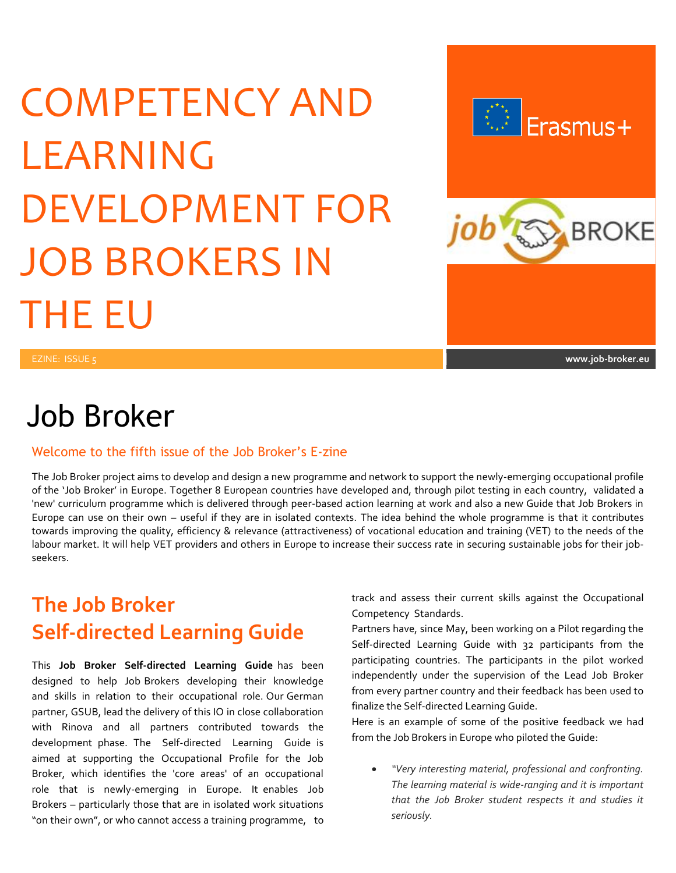# COMPETENCY AND LEARNING DEVELOPMENT FOR JOB BROKERS IN THE EU



## Job Broker

#### Welcome to the fifth issue of the Job Broker's E-zine

The Job Broker project aims to develop and design a new programme and network to support the newly-emerging occupational profile of the 'Job Broker' in Europe. Together 8 European countries have developed and, through pilot testing in each country, validated a 'new' curriculum programme which is delivered through peer-based action learning at work and also a new Guide that Job Brokers in Europe can use on their own – useful if they are in isolated contexts. The idea behind the whole programme is that it contributes towards improving the quality, efficiency & relevance (attractiveness) of vocational education and training (VET) to the needs of the labour market. It will help VET providers and others in Europe to increase their success rate in securing sustainable jobs for their jobseekers.

### **The Job Broker Self-directed Learning Guide**

This **Job Broker Self-directed Learning Guide** has been designed to help Job Brokers developing their knowledge and skills in relation to their occupational role. Our German partner, GSUB, lead the delivery of this IO in close collaboration with Rinova and all partners contributed towards the development phase. The Self-directed Learning Guide is aimed at supporting the Occupational Profile for the Job Broker, which identifies the 'core areas' of an occupational role that is newly-emerging in Europe. It enables Job Brokers – particularly those that are in isolated work situations "on their own", or who cannot access a training programme, to track and assess their current skills against the Occupational Competency Standards.

Partners have, since May, been working on a Pilot regarding the Self-directed Learning Guide with 32 participants from the participating countries. The participants in the pilot worked independently under the supervision of the Lead Job Broker from every partner country and their feedback has been used to finalize the Self-directed Learning Guide.

Here is an example of some of the positive feedback we had from the Job Brokers in Europe who piloted the Guide:

 *"Very interesting material, professional and confronting. The learning material is wide-ranging and it is important that the Job Broker student respects it and studies it seriously.*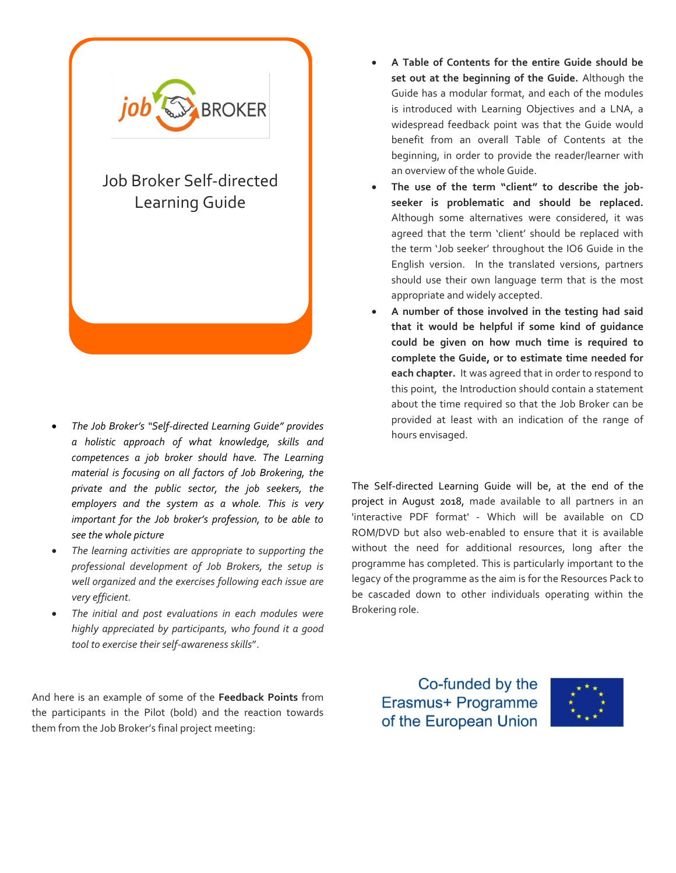

- *The Job Broker's "Self-directed Learning Guide" provides a holistic approach of what knowledge, skills and competences a job broker should have. The Learning material is focusing on all factors of Job Brokering, the private and the public sector, the job seekers, the employers and the system as a whole. This is very important for the Job broker's profession, to be able to see the whole picture*
- *The learning activities are appropriate to supporting the professional development of Job Brokers, the setup is well organized and the exercises following each issue are very efficient.*
- *The initial and post evaluations in each modules were highly appreciated by participants, who found it a good tool to exercise their self-awareness skills*".

And here is an example of some of the **Feedback Points** from the participants in the Pilot (bold) and the reaction towards them from the Job Broker's final project meeting:

- **A Table of Contents for the entire Guide should be set out at the beginning of the Guide.** Although the Guide has a modular format, and each of the modules is introduced with Learning Objectives and a LNA, a widespread feedback point was that the Guide would benefit from an overall Table of Contents at the beginning, in order to provide the reader/learner with an overview of the whole Guide.
- **The use of the term "client" to describe the jobseeker is problematic and should be replaced.** Although some alternatives were considered, it was agreed that the term 'client' should be replaced with the term 'Job seeker' throughout the IO6 Guide in the English version. In the translated versions, partners should use their own language term that is the most appropriate and widely accepted.
- **A number of those involved in the testing had said that it would be helpful if some kind of guidance could be given on how much time is required to complete the Guide, or to estimate time needed for each chapter.** It was agreed that in order to respond to this point, the Introduction should contain a statement about the time required so that the Job Broker can be provided at least with an indication of the range of hours envisaged.

The Self-directed Learning Guide will be, at the end of the project in August 2018, made available to all partners in an 'interactive PDF format' - Which will be available on CD ROM/DVD but also web-enabled to ensure that it is available without the need for additional resources, long after the programme has completed. This is particularly important to the legacy of the programme as the aim is for the Resources Pack to be cascaded down to other individuals operating within the Brokering role.

Co-funded by the Erasmus+ Programme of the European Union

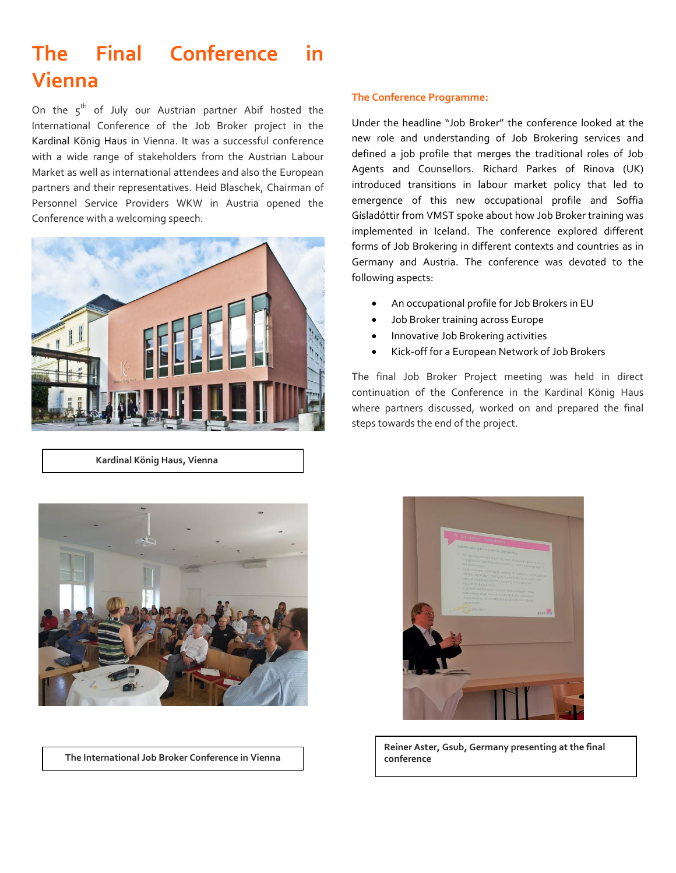### **The Final Conference in Vienna**

On the  $5<sup>th</sup>$  of July our Austrian partner Abif hosted the International Conference of the Job Broker project in the Kardinal König Haus in Vienna. It was a successful conference with a wide range of stakeholders from the Austrian Labour Market as well as international attendees and also the European partners and their representatives. Heid Blaschek, Chairman of Personnel Service Providers WKW in Austria opened the Conference with a welcoming speech.



 **Kardinal König Haus, Vienna**

#### **The Conference Programme:**

Under the headline "Job Broker" the conference looked at the new role and understanding of Job Brokering services and defined a job profile that merges the traditional roles of Job Agents and Counsellors. Richard Parkes of Rinova (UK) introduced transitions in labour market policy that led to emergence of this new occupational profile and Soffia Gísladóttir from VMST spoke about how Job Broker training was implemented in Iceland. The conference explored different forms of Job Brokering in different contexts and countries as in Germany and Austria. The conference was devoted to the following aspects:

- An occupational profile for Job Brokers in EU
- Job Broker training across Europe
- **•** Innovative Job Brokering activities
- Kick-off for a European Network of Job Brokers

The final Job Broker Project meeting was held in direct continuation of the Conference in the Kardinal König Haus where partners discussed, worked on and prepared the final steps towards the end of the project.



**The International Job Broker Conference in Vienna**



**Reiner Aster, Gsub, Germany presenting at the final conference**